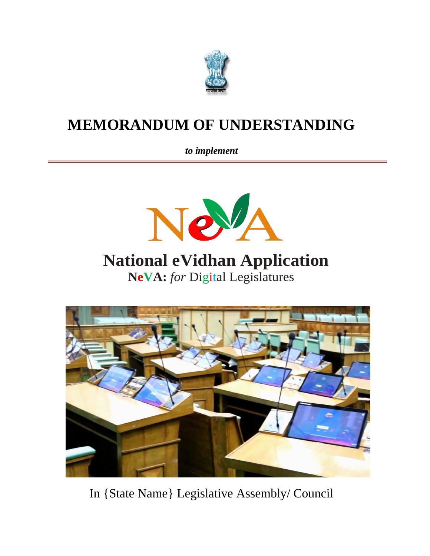

# **MEMORANDUM OF UNDERSTANDING**

*to implement*



# **National eVidhan Application NeVA:** *for* Digital Legislatures



In {State Name} Legislative Assembly/ Council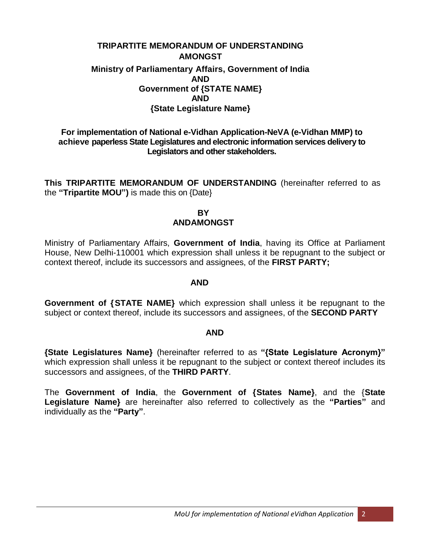### **TRIPARTITE MEMORANDUM OF UNDERSTANDING AMONGST Ministry of Parliamentary Affairs, Government of India AND Government of {STATE NAME} AND {State Legislature Name}**

#### **For implementation of National e-Vidhan Application-NeVA (e-Vidhan MMP) to achieve paperless State Legislatures and electronic information services delivery to Legislators and other stakeholders.**

**This TRIPARTITE MEMORANDUM OF UNDERSTANDING** (hereinafter referred to as the **"Tripartite MOU")** is made this on {Date}

#### **BY ANDAMONGST**

Ministry of Parliamentary Affairs, **Government of India**, having its Office at Parliament House, New Delhi-110001 which expression shall unless it be repugnant to the subject or context thereof, include its successors and assignees, of the **FIRST PARTY;**

#### **AND**

**Government of {STATE NAME}** which expression shall unless it be repugnant to the subject or context thereof, include its successors and assignees, of the **SECOND PARTY**

#### **AND**

**{State Legislatures Name}** (hereinafter referred to as **"{State Legislature Acronym}"** which expression shall unless it be repugnant to the subject or context thereof includes its successors and assignees, of the **THIRD PARTY**.

The **Government of India**, the **Government of {States Name}**, and the {**State Legislature Name}** are hereinafter also referred to collectively as the **"Parties"** and individually as the **"Party"**.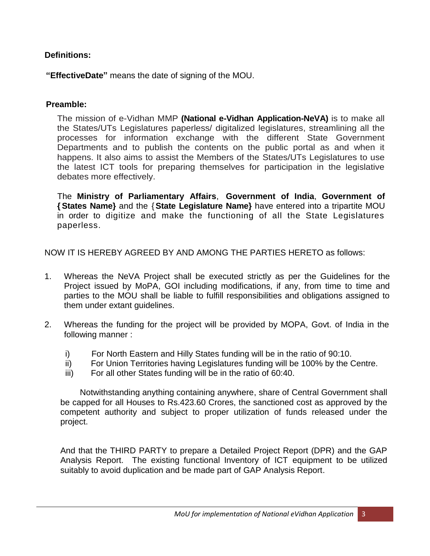## **Definitions:**

**"EffectiveDate"** means the date of signing of the MOU.

## **Preamble:**

The mission of e-Vidhan MMP **(National e-Vidhan Application-NeVA)** is to make all the States/UTs Legislatures paperless/ digitalized legislatures, streamlining all the processes for information exchange with the different State Government Departments and to publish the contents on the public portal as and when it happens. It also aims to assist the Members of the States/UTs Legislatures to use the latest ICT tools for preparing themselves for participation in the legislative debates more effectively.

The **Ministry of Parliamentary Affairs**, **Government of India**, **Government of { States Name}** and the {**State Legislature Name}** have entered into a tripartite MOU in order to digitize and make the functioning of all the State Legislatures paperless.

NOW IT IS HEREBY AGREED BY AND AMONG THE PARTIES HERETO as follows:

- 1. Whereas the NeVA Project shall be executed strictly as per the Guidelines for the Project issued by MoPA, GOI including modifications, if any, from time to time and parties to the MOU shall be liable to fulfill responsibilities and obligations assigned to them under extant guidelines.
- 2. Whereas the funding for the project will be provided by MOPA, Govt. of India in the following manner :
	- i) For North Eastern and Hilly States funding will be in the ratio of 90:10.
	- ii) For Union Territories having Legislatures funding will be 100% by the Centre.
	- iii) For all other States funding will be in the ratio of 60:40.

Notwithstanding anything containing anywhere, share of Central Government shall be capped for all Houses to Rs.423.60 Crores, the sanctioned cost as approved by the competent authority and subject to proper utilization of funds released under the project.

And that the THIRD PARTY to prepare a Detailed Project Report (DPR) and the GAP Analysis Report. The existing functional Inventory of ICT equipment to be utilized suitably to avoid duplication and be made part of GAP Analysis Report.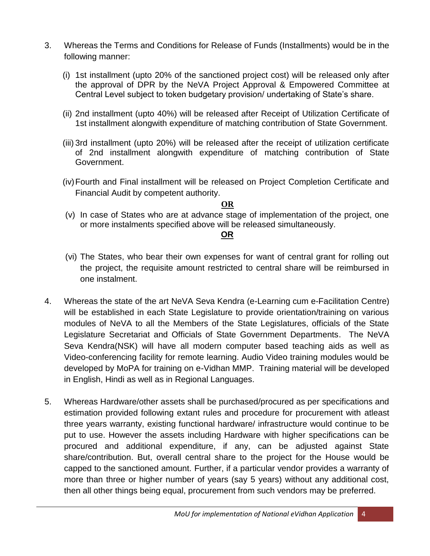- 3. Whereas the Terms and Conditions for Release of Funds (Installments) would be in the following manner:
	- (i) 1st installment (upto 20% of the sanctioned project cost) will be released only after the approval of DPR by the NeVA Project Approval & Empowered Committee at Central Level subject to token budgetary provision/ undertaking of State's share.
	- (ii) 2nd installment (upto 40%) will be released after Receipt of Utilization Certificate of 1st installment alongwith expenditure of matching contribution of State Government.
	- (iii) 3rd installment (upto 20%) will be released after the receipt of utilization certificate of 2nd installment alongwith expenditure of matching contribution of State Government.
	- (iv)Fourth and Final installment will be released on Project Completion Certificate and Financial Audit by competent authority.

## **OR**

(v) In case of States who are at advance stage of implementation of the project, one or more instalments specified above will be released simultaneously.

# **OR**

- (vi) The States, who bear their own expenses for want of central grant for rolling out the project, the requisite amount restricted to central share will be reimbursed in one instalment.
- 4. Whereas the state of the art NeVA Seva Kendra (e-Learning cum e-Facilitation Centre) will be established in each State Legislature to provide orientation/training on various modules of NeVA to all the Members of the State Legislatures, officials of the State Legislature Secretariat and Officials of State Government Departments. The NeVA Seva Kendra(NSK) will have all modern computer based teaching aids as well as Video-conferencing facility for remote learning. Audio Video training modules would be developed by MoPA for training on e-Vidhan MMP. Training material will be developed in English, Hindi as well as in Regional Languages.
- 5. Whereas Hardware/other assets shall be purchased/procured as per specifications and estimation provided following extant rules and procedure for procurement with atleast three years warranty, existing functional hardware/ infrastructure would continue to be put to use. However the assets including Hardware with higher specifications can be procured and additional expenditure, if any, can be adjusted against State share/contribution. But, overall central share to the project for the House would be capped to the sanctioned amount. Further, if a particular vendor provides a warranty of more than three or higher number of years (say 5 years) without any additional cost, then all other things being equal, procurement from such vendors may be preferred.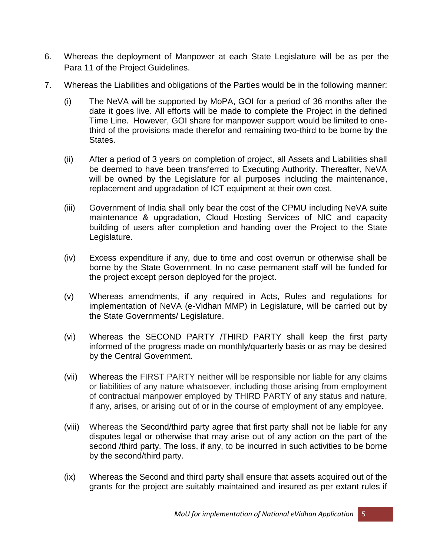- 6. Whereas the deployment of Manpower at each State Legislature will be as per the Para 11 of the Project Guidelines.
- 7. Whereas the Liabilities and obligations of the Parties would be in the following manner:
	- (i) The NeVA will be supported by MoPA, GOI for a period of 36 months after the date it goes live. All efforts will be made to complete the Project in the defined Time Line. However, GOI share for manpower support would be limited to onethird of the provisions made therefor and remaining two-third to be borne by the States.
	- (ii) After a period of 3 years on completion of project, all Assets and Liabilities shall be deemed to have been transferred to Executing Authority. Thereafter, NeVA will be owned by the Legislature for all purposes including the maintenance, replacement and upgradation of ICT equipment at their own cost.
	- (iii) Government of India shall only bear the cost of the CPMU including NeVA suite maintenance & upgradation, Cloud Hosting Services of NIC and capacity building of users after completion and handing over the Project to the State Legislature.
	- (iv) Excess expenditure if any, due to time and cost overrun or otherwise shall be borne by the State Government. In no case permanent staff will be funded for the project except person deployed for the project.
	- (v) Whereas amendments, if any required in Acts, Rules and regulations for implementation of NeVA (e-Vidhan MMP) in Legislature, will be carried out by the State Governments/ Legislature.
	- (vi) Whereas the SECOND PARTY /THIRD PARTY shall keep the first party informed of the progress made on monthly/quarterly basis or as may be desired by the Central Government.
	- (vii) Whereas the FIRST PARTY neither will be responsible nor liable for any claims or liabilities of any nature whatsoever, including those arising from employment of contractual manpower employed by THIRD PARTY of any status and nature, if any, arises, or arising out of or in the course of employment of any employee.
	- (viii) Whereas the Second/third party agree that first party shall not be liable for any disputes legal or otherwise that may arise out of any action on the part of the second /third party. The loss, if any, to be incurred in such activities to be borne by the second/third party.
	- (ix) Whereas the Second and third party shall ensure that assets acquired out of the grants for the project are suitably maintained and insured as per extant rules if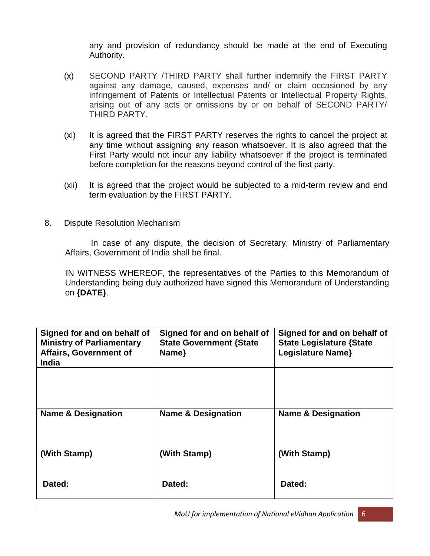any and provision of redundancy should be made at the end of Executing Authority.

- (x) SECOND PARTY /THIRD PARTY shall further indemnify the FIRST PARTY against any damage, caused, expenses and/ or claim occasioned by any infringement of Patents or Intellectual Patents or Intellectual Property Rights, arising out of any acts or omissions by or on behalf of SECOND PARTY/ THIRD PARTY.
- (xi) It is agreed that the FIRST PARTY reserves the rights to cancel the project at any time without assigning any reason whatsoever. It is also agreed that the First Party would not incur any liability whatsoever if the project is terminated before completion for the reasons beyond control of the first party.
- (xii) It is agreed that the project would be subjected to a mid-term review and end term evaluation by the FIRST PARTY.
- 8. Dispute Resolution Mechanism

In case of any dispute, the decision of Secretary, Ministry of Parliamentary Affairs, Government of India shall be final.

IN WITNESS WHEREOF, the representatives of the Parties to this Memorandum of Understanding being duly authorized have signed this Memorandum of Understanding on **{DATE}**.

| Signed for and on behalf of<br><b>Ministry of Parliamentary</b><br><b>Affairs, Government of</b><br><b>India</b> | Signed for and on behalf of<br><b>State Government {State</b><br>Name} | Signed for and on behalf of<br><b>State Legislature {State</b><br><b>Legislature Name}</b> |
|------------------------------------------------------------------------------------------------------------------|------------------------------------------------------------------------|--------------------------------------------------------------------------------------------|
|                                                                                                                  |                                                                        |                                                                                            |
| <b>Name &amp; Designation</b>                                                                                    | <b>Name &amp; Designation</b>                                          | <b>Name &amp; Designation</b>                                                              |
| (With Stamp)                                                                                                     | (With Stamp)                                                           | (With Stamp)                                                                               |
| Dated:                                                                                                           | Dated:                                                                 | Dated:                                                                                     |